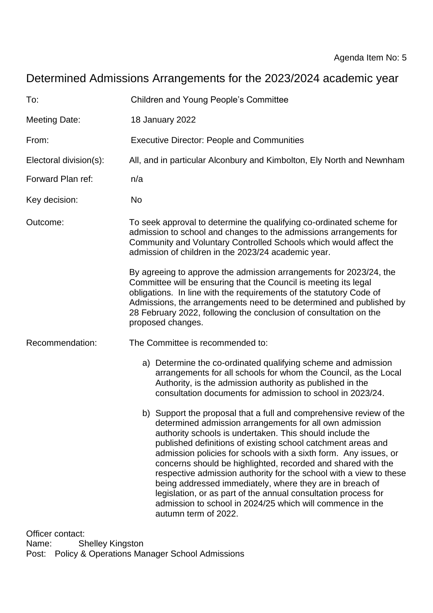# Determined Admissions Arrangements for the 2023/2024 academic year

| To:                    | <b>Children and Young People's Committee</b>                                                                                                                                                                                                                                                                                                                                                                                                                                                                                                                                                                                                                                            |
|------------------------|-----------------------------------------------------------------------------------------------------------------------------------------------------------------------------------------------------------------------------------------------------------------------------------------------------------------------------------------------------------------------------------------------------------------------------------------------------------------------------------------------------------------------------------------------------------------------------------------------------------------------------------------------------------------------------------------|
| <b>Meeting Date:</b>   | 18 January 2022                                                                                                                                                                                                                                                                                                                                                                                                                                                                                                                                                                                                                                                                         |
| From:                  | <b>Executive Director: People and Communities</b>                                                                                                                                                                                                                                                                                                                                                                                                                                                                                                                                                                                                                                       |
| Electoral division(s): | All, and in particular Alconbury and Kimbolton, Ely North and Newnham                                                                                                                                                                                                                                                                                                                                                                                                                                                                                                                                                                                                                   |
| Forward Plan ref:      | n/a                                                                                                                                                                                                                                                                                                                                                                                                                                                                                                                                                                                                                                                                                     |
| Key decision:          | No                                                                                                                                                                                                                                                                                                                                                                                                                                                                                                                                                                                                                                                                                      |
| Outcome:               | To seek approval to determine the qualifying co-ordinated scheme for<br>admission to school and changes to the admissions arrangements for<br>Community and Voluntary Controlled Schools which would affect the<br>admission of children in the 2023/24 academic year.                                                                                                                                                                                                                                                                                                                                                                                                                  |
|                        | By agreeing to approve the admission arrangements for 2023/24, the<br>Committee will be ensuring that the Council is meeting its legal<br>obligations. In line with the requirements of the statutory Code of<br>Admissions, the arrangements need to be determined and published by<br>28 February 2022, following the conclusion of consultation on the<br>proposed changes.                                                                                                                                                                                                                                                                                                          |
| Recommendation:        | The Committee is recommended to:                                                                                                                                                                                                                                                                                                                                                                                                                                                                                                                                                                                                                                                        |
|                        | a) Determine the co-ordinated qualifying scheme and admission<br>arrangements for all schools for whom the Council, as the Local<br>Authority, is the admission authority as published in the<br>consultation documents for admission to school in 2023/24.                                                                                                                                                                                                                                                                                                                                                                                                                             |
|                        | b) Support the proposal that a full and comprehensive review of the<br>determined admission arrangements for all own admission<br>authority schools is undertaken. This should include the<br>published definitions of existing school catchment areas and<br>admission policies for schools with a sixth form. Any issues, or<br>concerns should be highlighted, recorded and shared with the<br>respective admission authority for the school with a view to these<br>being addressed immediately, where they are in breach of<br>legislation, or as part of the annual consultation process for<br>admission to school in 2024/25 which will commence in the<br>autumn term of 2022. |

Officer contact: Name: Shelley Kingston Post: Policy & Operations Manager School Admissions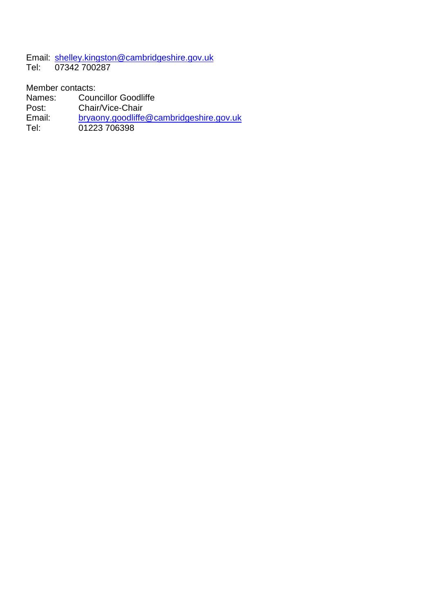Email: [shelley.kingston@cambridgeshire.gov.uk](mailto:shelley.kingston@cambridgeshire.gov.uk)<br>Tel: 07342 700287 07342 700287

Member contacts:

- Names: Councillor Goodliffe
- Post: Chair/Vice-Chair<br>
Email: bryaony.goodliffe
- [bryaony.goodliffe@cambridgeshire.gov.uk](mailto:bryaony.goodliffe@cambridgeshire.gov.uk)
- Tel: 01223 706398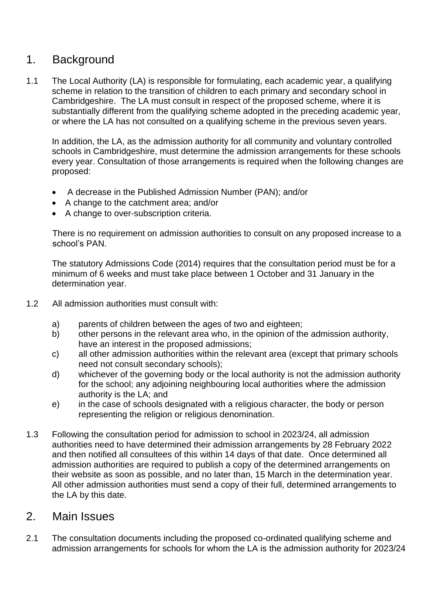## 1. Background

1.1 The Local Authority (LA) is responsible for formulating, each academic year, a qualifying scheme in relation to the transition of children to each primary and secondary school in Cambridgeshire. The LA must consult in respect of the proposed scheme, where it is substantially different from the qualifying scheme adopted in the preceding academic year, or where the LA has not consulted on a qualifying scheme in the previous seven years.

In addition, the LA, as the admission authority for all community and voluntary controlled schools in Cambridgeshire, must determine the admission arrangements for these schools every year. Consultation of those arrangements is required when the following changes are proposed:

- A decrease in the Published Admission Number (PAN); and/or
- A change to the catchment area; and/or
- A change to over-subscription criteria.

There is no requirement on admission authorities to consult on any proposed increase to a school's PAN.

The statutory Admissions Code (2014) requires that the consultation period must be for a minimum of 6 weeks and must take place between 1 October and 31 January in the determination year.

- 1.2 All admission authorities must consult with:
	- a) parents of children between the ages of two and eighteen;
	- b) other persons in the relevant area who, in the opinion of the admission authority, have an interest in the proposed admissions;
	- c) all other admission authorities within the relevant area (except that primary schools need not consult secondary schools);
	- d) whichever of the governing body or the local authority is not the admission authority for the school; any adjoining neighbouring local authorities where the admission authority is the LA; and
	- e) in the case of schools designated with a religious character, the body or person representing the religion or religious denomination.
- 1.3 Following the consultation period for admission to school in 2023/24, all admission authorities need to have determined their admission arrangements by 28 February 2022 and then notified all consultees of this within 14 days of that date. Once determined all admission authorities are required to publish a copy of the determined arrangements on their website as soon as possible, and no later than, 15 March in the determination year. All other admission authorities must send a copy of their full, determined arrangements to the LA by this date.

### 2. Main Issues

2.1 The consultation documents including the proposed co-ordinated qualifying scheme and admission arrangements for schools for whom the LA is the admission authority for 2023/24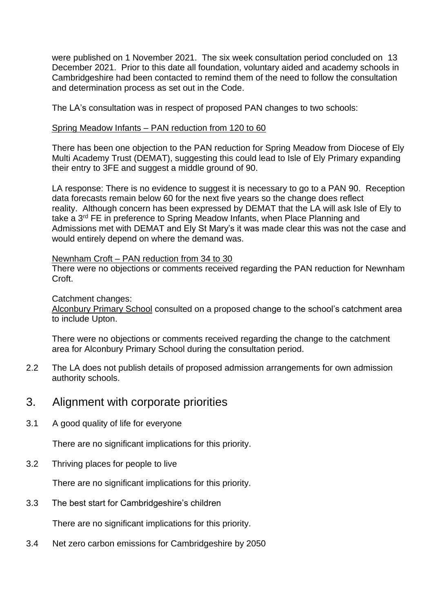were published on 1 November 2021. The six week consultation period concluded on 13 December 2021. Prior to this date all foundation, voluntary aided and academy schools in Cambridgeshire had been contacted to remind them of the need to follow the consultation and determination process as set out in the Code.

The LA's consultation was in respect of proposed PAN changes to two schools:

#### Spring Meadow Infants – PAN reduction from 120 to 60

There has been one objection to the PAN reduction for Spring Meadow from Diocese of Ely Multi Academy Trust (DEMAT), suggesting this could lead to Isle of Ely Primary expanding their entry to 3FE and suggest a middle ground of 90.

LA response: There is no evidence to suggest it is necessary to go to a PAN 90. Reception data forecasts remain below 60 for the next five years so the change does reflect reality. Although concern has been expressed by DEMAT that the LA will ask Isle of Ely to take a 3rd FE in preference to Spring Meadow Infants, when Place Planning and Admissions met with DEMAT and Ely St Mary's it was made clear this was not the case and would entirely depend on where the demand was.

#### Newnham Croft – PAN reduction from 34 to 30

There were no objections or comments received regarding the PAN reduction for Newnham Croft.

#### Catchment changes:

Alconbury Primary School consulted on a proposed change to the school's catchment area to include Upton.

There were no objections or comments received regarding the change to the catchment area for Alconbury Primary School during the consultation period.

2.2 The LA does not publish details of proposed admission arrangements for own admission authority schools.

### 3. Alignment with corporate priorities

3.1 A good quality of life for everyone

There are no significant implications for this priority.

3.2 Thriving places for people to live

There are no significant implications for this priority.

3.3 The best start for Cambridgeshire's children

There are no significant implications for this priority.

3.4 Net zero carbon emissions for Cambridgeshire by 2050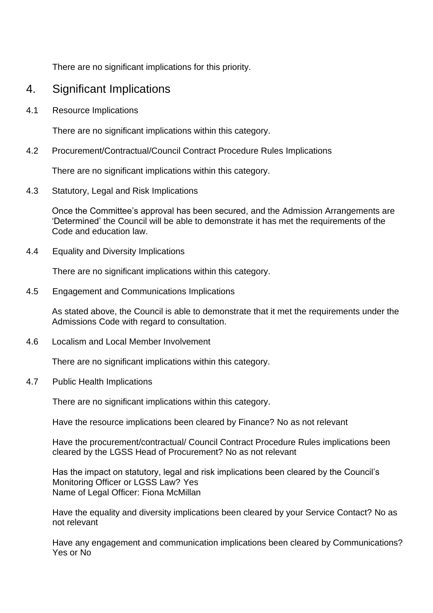There are no significant implications for this priority.

## 4. Significant Implications

4.1 Resource Implications

There are no significant implications within this category.

4.2 Procurement/Contractual/Council Contract Procedure Rules Implications

There are no significant implications within this category.

4.3 Statutory, Legal and Risk Implications

Once the Committee's approval has been secured, and the Admission Arrangements are 'Determined' the Council will be able to demonstrate it has met the requirements of the Code and education law.

4.4 Equality and Diversity Implications

There are no significant implications within this category.

4.5 Engagement and Communications Implications

As stated above, the Council is able to demonstrate that it met the requirements under the Admissions Code with regard to consultation.

4.6 Localism and Local Member Involvement

There are no significant implications within this category.

4.7 Public Health Implications

There are no significant implications within this category.

Have the resource implications been cleared by Finance? No as not relevant

Have the procurement/contractual/ Council Contract Procedure Rules implications been cleared by the LGSS Head of Procurement? No as not relevant

Has the impact on statutory, legal and risk implications been cleared by the Council's Monitoring Officer or LGSS Law? Yes Name of Legal Officer: Fiona McMillan

Have the equality and diversity implications been cleared by your Service Contact? No as not relevant

Have any engagement and communication implications been cleared by Communications? Yes or No